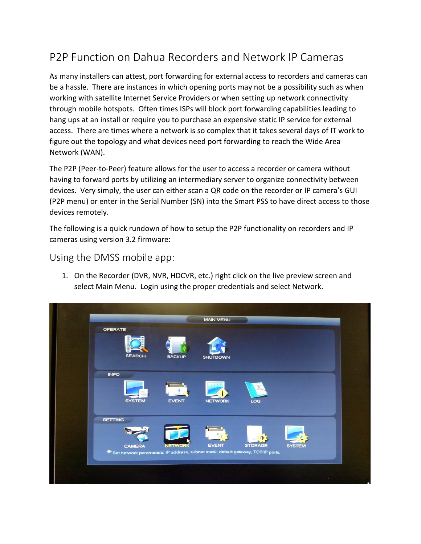## P2P Function on Dahua Recorders and Network IP Cameras

As many installers can attest, port forwarding for external access to recorders and cameras can be a hassle. There are instances in which opening ports may not be a possibility such as when working with satellite Internet Service Providers or when setting up network connectivity through mobile hotspots. Often times ISPs will block port forwarding capabilities leading to hang ups at an install or require you to purchase an expensive static IP service for external access. There are times where a network is so complex that it takes several days of IT work to figure out the topology and what devices need port forwarding to reach the Wide Area Network (WAN).

The P2P (Peer-to-Peer) feature allows for the user to access a recorder or camera without having to forward ports by utilizing an intermediary server to organize connectivity between devices. Very simply, the user can either scan a QR code on the recorder or IP camera's GUI (P2P menu) or enter in the Serial Number (SN) into the Smart PSS to have direct access to those devices remotely.

The following is a quick rundown of how to setup the P2P functionality on recorders and IP cameras using version 3.2 firmware:

Using the DMSS mobile app:

1. On the Recorder (DVR, NVR, HDCVR, etc.) right click on the live preview screen and select Main Menu. Login using the proper credentials and select Network.

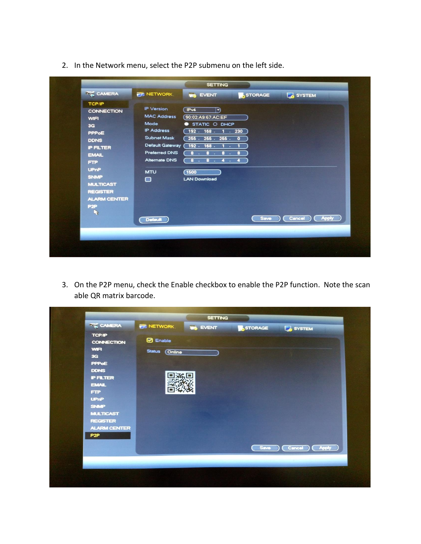2. In the Network menu, select the P2P submenu on the left side.

3. On the P2P menu, check the Enable checkbox to enable the P2P function. Note the scan able QR matrix barcode.

| <b>MULTICAST</b><br><b>REGISTER</b><br><b>ALARM CENTER</b><br>P <sub>2P</sub> | <b>TCP/IP</b><br><b>CONNECTION</b><br><b>WIFI</b><br>3G<br>PPPoE<br><b>DDNS</b><br><b>PFLTER</b><br><b>EMAIL</b><br><b>FTP</b><br><b>UPnP</b><br><b>SNMP</b> | NETWORK<br><b>O</b> Enable<br>Status <b>Online</b><br>回案回 | <b>IN EVENT</b> | STORAGE | SYSTEM |
|-------------------------------------------------------------------------------|--------------------------------------------------------------------------------------------------------------------------------------------------------------|-----------------------------------------------------------|-----------------|---------|--------|
|                                                                               |                                                                                                                                                              |                                                           |                 |         |        |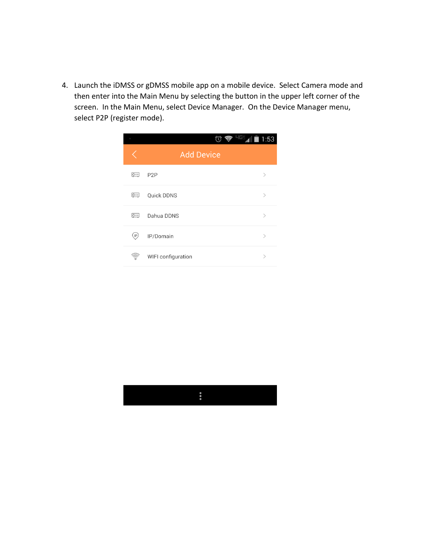4. Launch the iDMSS or gDMSS mobile app on a mobile device. Select Camera mode and then enter into the Main Menu by selecting the button in the upper left corner of the screen. In the Main Menu, select Device Manager. On the Device Manager menu, select P2P (register mode).



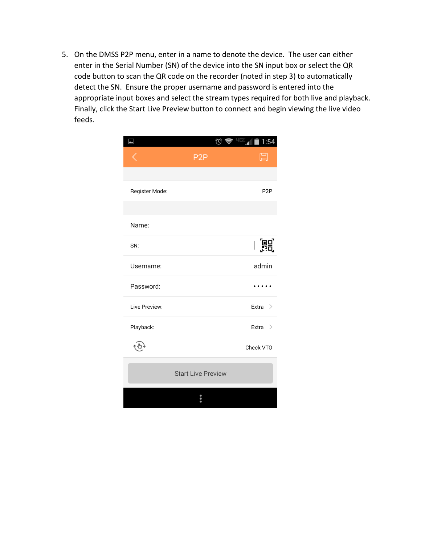5. On the DMSS P2P menu, enter in a name to denote the device. The user can either enter in the Serial Number (SN) of the device into the SN input box or select the QR code button to scan the QR code on the recorder (noted in step 3) to automatically detect the SN. Ensure the proper username and password is entered into the appropriate input boxes and select the stream types required for both live and playback. Finally, click the Start Live Preview button to connect and begin viewing the live video feeds.

|                | ∕೧                        | 1:54<br>5,41     |
|----------------|---------------------------|------------------|
|                | P <sub>2</sub> P          | 囗                |
|                |                           |                  |
| Register Mode: |                           | P <sub>2</sub> P |
|                |                           |                  |
| Name:          |                           |                  |
| SN:            |                           | 噩                |
| Username:      |                           | admin            |
| Password:      |                           |                  |
| Live Preview:  |                           | Extra $>$        |
| Playback:      |                           | Extra<br>$\geq$  |
|                |                           | Check VTO        |
|                | <b>Start Live Preview</b> |                  |
|                |                           |                  |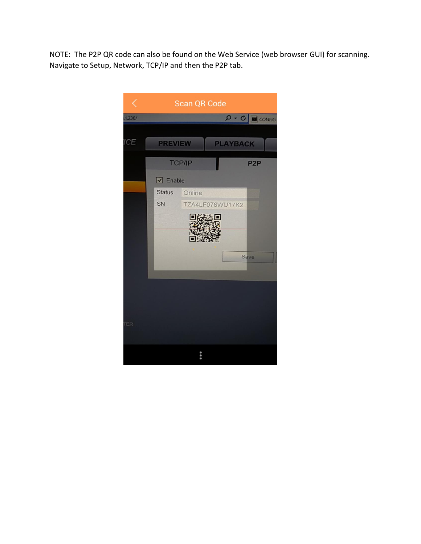NOTE: The P2P QR code can also be found on the Web Service (web browser GUI) for scanning. Navigate to Setup, Network, TCP/IP and then the P2P tab.

| ✓          | Scan QR Code                                             |
|------------|----------------------------------------------------------|
| 1.230/     | $Q - C$ $\Box$ CONFIG                                    |
| <b>ICE</b> | <b>PREVIEW</b><br><b>PLAYBACK</b>                        |
|            | <b>TCP/IP</b><br>P <sub>2</sub> P                        |
|            | $\boxed{\triangle}$ Enable                               |
|            | <b>Status</b><br>Online<br>SN<br>TZA4LF076WU17K2<br>Save |
| <b>ER</b>  |                                                          |
|            | 0.000                                                    |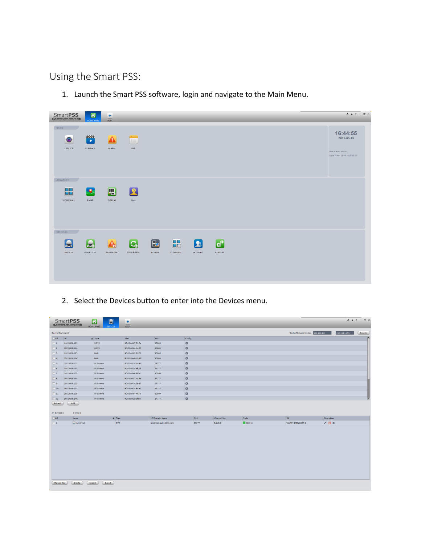Using the Smart PSS:

1. Launch the Smart PSS software, login and navigate to the Main Menu.

| <b>SmartPSS</b><br>Professional Surveillance System | ő<br><b>HOME PAGE</b>                   | ÷<br>ADD                  |                                        |              |                 |                                           |                                             |  |  | $2.47 - 0 \times$                                                          |
|-----------------------------------------------------|-----------------------------------------|---------------------------|----------------------------------------|--------------|-----------------|-------------------------------------------|---------------------------------------------|--|--|----------------------------------------------------------------------------|
| BASIC<br>$\bullet$<br>LIVEVIEW                      | $\mathbf{r}$<br>PLAYBACK                | ALARM                     | E<br>LOG                               |              |                 |                                           |                                             |  |  | 16:44:55<br>2015-05-19<br>User Name: admin<br>Login Time: 16:44 2015-05-19 |
| ADVANCED<br>品<br>VIDEO WALL                         | $\mathcal{L}$<br>E-MAP                  | $\blacksquare$<br>DISPLAY | $\sqrt{2}$<br>Face                     |              |                 |                                           |                                             |  |  |                                                                            |
| SETTINGS<br>DEVICES                                 | $\bar{\mathbf{z}}$<br><b>DEVICE CFG</b> | ALARM CFG                 | $\mathbf{G}$<br><b>TOUR &amp; TASK</b> | E.<br>PC-NVR | 品<br>VIDEO WALL | $\left  \bm{2} \right $<br><b>ACCOUNT</b> | $\boldsymbol{\phi}^{\mathrm{p}}$<br>GENERAL |  |  |                                                                            |

2. Select the Devices button to enter into the Devices menu.

|                          | <b>SmartPSS</b><br>Professional Surveillance System | $\Delta$<br>$\mathbf{a}$<br>HOME PAGE<br><b>DEVICES</b> | ٠<br><b>ADD</b>   |                         |        |             |              |                                    |                   | $2.47 - 5 \times$ |
|--------------------------|-----------------------------------------------------|---------------------------------------------------------|-------------------|-------------------------|--------|-------------|--------------|------------------------------------|-------------------|-------------------|
| <b>Online Devices:16</b> |                                                     |                                                         |                   |                         |        |             |              | Device Network Section 192.168.1.0 | $-$ 192.168.1.255 | Search            |
| $\Box$ All               | $\mathbf{P}$                                        | $\triangle$ Type                                        | Mac               | Port                    | Config |             |              |                                    |                   | ъ                 |
| $\Box$ 1                 | 192.168.0.123                                       | <b>HCVR</b>                                             | 90:02:a9:67:32:0e | 40003                   | 杂      |             |              |                                    |                   |                   |
| $\Box$ 2                 | 192.168.0.124                                       | <b>HCVR</b>                                             | 90:02:a9:6a:4c:07 | 40004                   | 券      |             |              |                                    |                   |                   |
| $\Box$ 3                 | 192.168.0.125                                       | <b>NVR</b>                                              | 90:02:a9:67:26:32 | 40005                   | 柴      |             |              |                                    |                   |                   |
| $\Box$ 4                 | 192.168.0.126                                       | <b>NVR</b>                                              | 90:02:a9:d0:db:49 | 40006                   | 杂      |             |              |                                    |                   |                   |
| $\Box$ 5                 | 192.168.0.131                                       | <b>IP Camera</b>                                        | 90:02:a9:2d:1a:46 | 37777                   | 泰      |             |              |                                    |                   |                   |
| $\Box$ 6                 | 192.168.0.132                                       | IP Camera                                               | 90:02:a9:2c:8b:15 | 37777                   | 券      |             |              |                                    |                   |                   |
| $\Box$                   | 192.168.0.133                                       | IP Camera                                               | 90:02:a9:ee:f0:7d | 40500                   | 娄      |             |              |                                    |                   |                   |
| $\Box$ 8                 | 192.168.0.134                                       | IP Camera                                               | 90:02:a9:31:dc:4e | 37777                   | 柴      |             |              |                                    |                   |                   |
| $\Box$                   | 192.168.0.135                                       | <b>IP Camera</b>                                        | 90:02:a9:2c:98:87 | 37777                   | 盎      |             |              |                                    |                   |                   |
| 10                       | 192.168.0.137                                       | <b>IP Camera</b>                                        | 90:02:a9:28:98:e2 | 37777                   | 崇      |             |              |                                    |                   |                   |
| $\Box$ 11                | 192.168.0.138                                       | <b>IP Camera</b>                                        | 90:02:a9:07:4f:7a | 10009                   | *      |             |              |                                    |                   |                   |
| $\Box$ 12                | 192.168.0.140                                       | IP Camera                                               | 90:02:a9:20:cf:bd | 37777                   | ☆      |             |              |                                    |                   | Б                 |
| Refresh<br>All Devices:1 | Add<br>Online:1                                     |                                                         |                   |                         |        |             |              |                                    |                   |                   |
| A                        | Name                                                | $\triangle$ Type                                        |                   | <b>IP/Domain Name</b>   | Port   | Channel No. | <b>State</b> | SN                                 | Operation         |                   |
| $\Box$ 1                 | Julcerysd                                           | <b>NVR</b>                                              |                   | Juicerysd.quickddns.com | 37777  | 8/0/0/0     | Online       | <b>TZA4KY345WQ07R6</b>             | $/$ E X           |                   |
|                          |                                                     |                                                         |                   |                         |        |             |              |                                    |                   |                   |
| Manual Add               | Delete<br>Import                                    | Export                                                  |                   |                         |        |             |              |                                    |                   |                   |